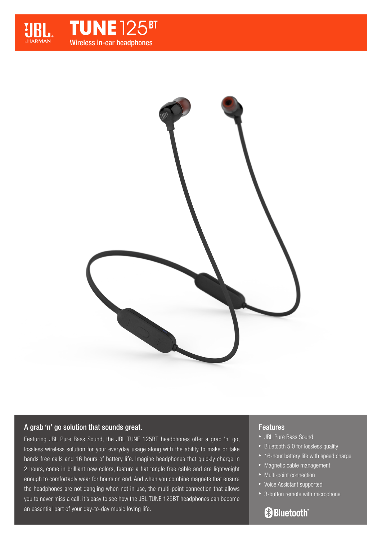





# A grab 'n' go solution that sounds great.

Featuring JBL Pure Bass Sound, the JBL TUNE 125BT headphones offer a grab 'n' go, lossless wireless solution for your everyday usage along with the ability to make or take hands free calls and 16 hours of battery life. Imagine headphones that quickly charge in 2 hours, come in brilliant new colors, feature a flat tangle free cable and are lightweight enough to comfortably wear for hours on end. And when you combine magnets that ensure the headphones are not dangling when not in use, the multi-point connection that allows you to never miss a call, it's easy to see how the JBL TUNE 125BT headphones can become an essential part of your day-to-day music loving life.

## **Features**

- JBL Pure Bass Sound
- $\blacktriangleright$  Bluetooth 5.0 for lossless quality
- ▶ 16-hour battery life with speed charge
- **Magnetic cable management**
- ▶ Multi-point connection
- ▶ Voice Assistant supported
- ▶ 3-button remote with microphone

# **& Bluetooth**®